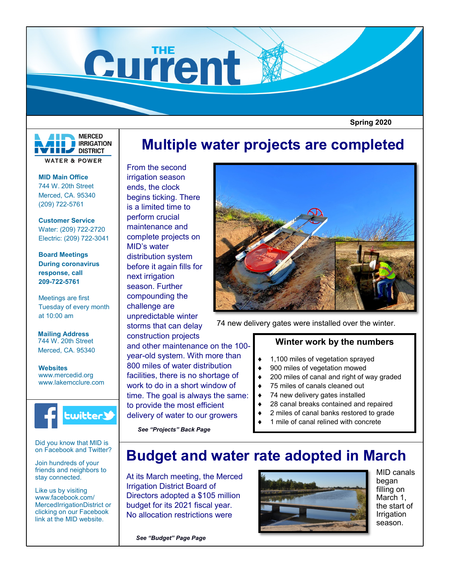

 **Spring 2020**



**MID Main Office** 744 W. 20th Street Merced, CA. 95340 (209) 722-5761

**Customer Service** Water: (209) 722-2720 Electric: (209) 722-3041

**Board Meetings During coronavirus response, call 209-722-5761**

Meetings are first Tuesday of every month at 10:00 am

**Mailing Address** 744 W. 20th Street Merced, CA. 95340

**Websites** www.mercedid.org www.lakemcclure.com



Did you know that MID is on Facebook and Twitter?

Join hundreds of your friends and neighbors to stay connected.

Like us by visiting www.facebook.com/ MercedIrrigationDistrict or clicking on our Facebook link at the MID website.

# **Multiple water projects are completed**

From the second irrigation season ends, the clock begins ticking. There is a limited time to perform crucial maintenance and complete projects on MID's water distribution system before it again fills for next irrigation season. Further compounding the challenge are unpredictable winter storms that can delay construction projects and other maintenance on the 100 year-old system. With more than 800 miles of water distribution facilities, there is no shortage of work to do in a short window of time. The goal is always the same: to provide the most efficient delivery of water to our growers



74 new delivery gates were installed over the winter.

## **Winter work by the numbers**

- ◆ 1,100 miles of vegetation sprayed
- 900 miles of vegetation mowed
- 200 miles of canal and right of way graded
- 75 miles of canals cleaned out
- 74 new delivery gates installed
- 28 canal breaks contained and repaired
- 2 miles of canal banks restored to grade
- 1 mile of canal relined with concrete

## **Budget and water rate adopted in March**

At its March meeting, the Merced Irrigation District Board of Directors adopted a \$105 million budget for its 2021 fiscal year. No allocation restrictions were

*See "Projects" Back Page*



MID canals began filling on March 1, the start of Irrigation season.

*See "Budget" Page Page*